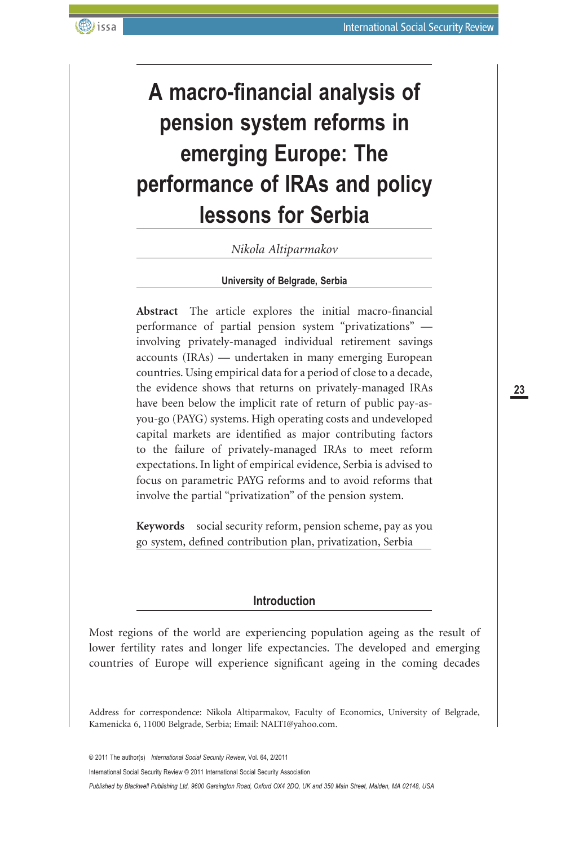# **A macro-financial analysis of pension system reforms in emerging Europe: The performance of IRAs and policy lessons for Serbia**

*Nikola Altiparmakov*

#### **University of Belgrade, Serbia**

**Abstract** The article explores the initial macro-financial performance of partial pension system "privatizations" involving privately-managed individual retirement savings accounts (IRAs) — undertaken in many emerging European countries. Using empirical data for a period of close to a decade, the evidence shows that returns on privately-managed IRAs have been below the implicit rate of return of public pay-asyou-go (PAYG) systems. High operating costs and undeveloped capital markets are identified as major contributing factors to the failure of privately-managed IRAs to meet reform expectations. In light of empirical evidence, Serbia is advised to focus on parametric PAYG reforms and to avoid reforms that involve the partial "privatization" of the pension system.

**Keywords** social security reform, pension scheme, pay as you go system, defined contribution plan, privatization, Serbia

# **Introduction**

Most regions of the world are experiencing population ageing as the result of lower fertility rates and longer life expectancies. The developed and emerging countries of Europe will experience significant ageing in the coming decades

© 2011 The author(s) *International Social Security Review*, Vol. 64, 2/2011

International Social Security Review © 2011 International Social Security Association

*Published by Blackwell Publishing Ltd, 9600 Garsington Road, Oxford OX4 2DQ, UK and 350 Main Street, Malden, MA 02148, USA*

Address for correspondence: Nikola Altiparmakov, Faculty of Economics, University of Belgrade, Kamenicka 6, 11000 Belgrade, Serbia; Email: NALTI@yahoo.com.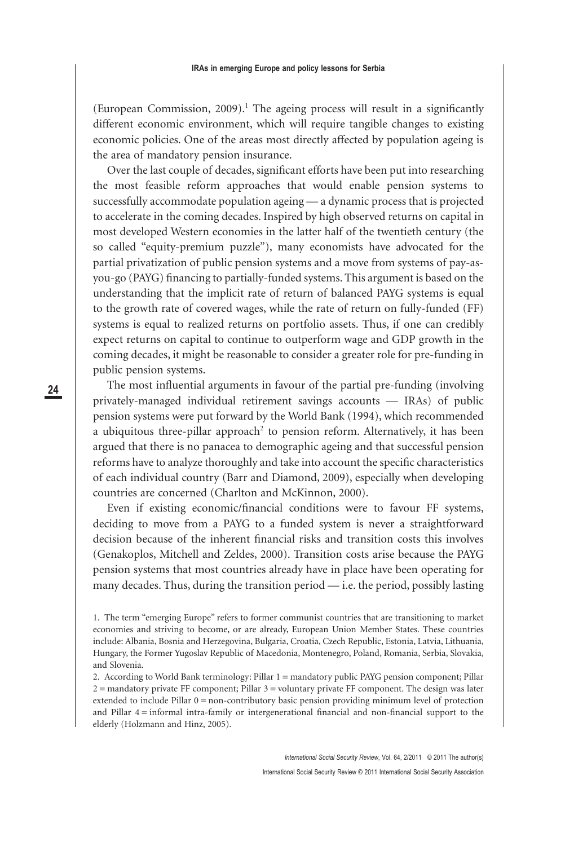(European Commission, 2009).<sup>1</sup> The ageing process will result in a significantly different economic environment, which will require tangible changes to existing economic policies. One of the areas most directly affected by population ageing is the area of mandatory pension insurance.

Over the last couple of decades, significant efforts have been put into researching the most feasible reform approaches that would enable pension systems to successfully accommodate population ageing—adynamic process that is projected to accelerate in the coming decades. Inspired by high observed returns on capital in most developed Western economies in the latter half of the twentieth century (the so called "equity-premium puzzle"), many economists have advocated for the partial privatization of public pension systems and a move from systems of pay-asyou-go (PAYG) financing to partially-funded systems. This argument is based on the understanding that the implicit rate of return of balanced PAYG systems is equal to the growth rate of covered wages, while the rate of return on fully-funded (FF) systems is equal to realized returns on portfolio assets. Thus, if one can credibly expect returns on capital to continue to outperform wage and GDP growth in the coming decades, it might be reasonable to consider a greater role for pre-funding in public pension systems.

The most influential arguments in favour of the partial pre-funding (involving privately-managed individual retirement savings accounts — IRAs) of public pension systems were put forward by the World Bank (1994), which recommended a ubiquitous three-pillar approach<sup>2</sup> to pension reform. Alternatively, it has been argued that there is no panacea to demographic ageing and that successful pension reforms have to analyze thoroughly and take into account the specific characteristics of each individual country (Barr and Diamond, 2009), especially when developing countries are concerned (Charlton and McKinnon, 2000).

Even if existing economic/financial conditions were to favour FF systems, deciding to move from a PAYG to a funded system is never a straightforward decision because of the inherent financial risks and transition costs this involves (Genakoplos, Mitchell and Zeldes, 2000). Transition costs arise because the PAYG pension systems that most countries already have in place have been operating for many decades. Thus, during the transition period  $-$  i.e. the period, possibly lasting

<sup>1.</sup> The term "emerging Europe" refers to former communist countries that are transitioning to market economies and striving to become, or are already, European Union Member States. These countries include: Albania, Bosnia and Herzegovina, Bulgaria, Croatia, Czech Republic, Estonia, Latvia, Lithuania, Hungary, the Former Yugoslav Republic of Macedonia, Montenegro, Poland, Romania, Serbia, Slovakia, and Slovenia.

<sup>2.</sup> According to World Bank terminology: Pillar 1 = mandatory public PAYG pension component; Pillar  $2 =$  mandatory private FF component; Pillar  $3 =$  voluntary private FF component. The design was later extended to include Pillar 0 = non-contributory basic pension providing minimum level of protection and Pillar 4 = informal intra-family or intergenerational financial and non-financial support to the elderly (Holzmann and Hinz, 2005).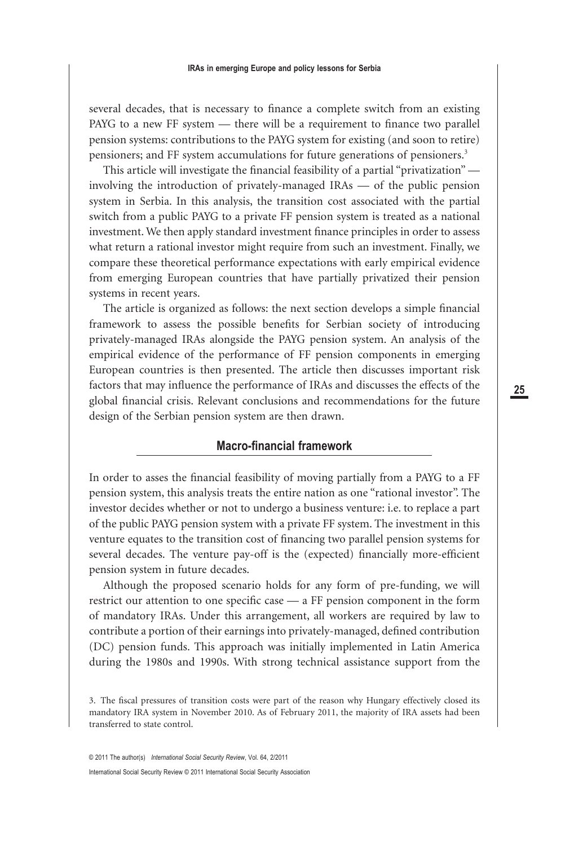#### **IRAs in emerging Europe and policy lessons for Serbia**

several decades, that is necessary to finance a complete switch from an existing PAYG to a new FF system — there will be a requirement to finance two parallel pension systems: contributions to the PAYG system for existing (and soon to retire) pensioners; and FF system accumulations for future generations of pensioners.<sup>3</sup>

This article will investigate the financial feasibility of a partial "privatization" involving the introduction of privately-managed IRAs — of the public pension system in Serbia. In this analysis, the transition cost associated with the partial switch from a public PAYG to a private FF pension system is treated as a national investment. We then apply standard investment finance principles in order to assess what return a rational investor might require from such an investment. Finally, we compare these theoretical performance expectations with early empirical evidence from emerging European countries that have partially privatized their pension systems in recent years.

The article is organized as follows: the next section develops a simple financial framework to assess the possible benefits for Serbian society of introducing privately-managed IRAs alongside the PAYG pension system. An analysis of the empirical evidence of the performance of FF pension components in emerging European countries is then presented. The article then discusses important risk factors that may influence the performance of IRAs and discusses the effects of the global financial crisis. Relevant conclusions and recommendations for the future design of the Serbian pension system are then drawn.

#### **Macro-financial framework**

In order to asses the financial feasibility of moving partially from a PAYG to a FF pension system, this analysis treats the entire nation as one "rational investor". The investor decides whether or not to undergo a business venture: i.e. to replace a part of the public PAYG pension system with a private FF system. The investment in this venture equates to the transition cost of financing two parallel pension systems for several decades. The venture pay-off is the (expected) financially more-efficient pension system in future decades.

Although the proposed scenario holds for any form of pre-funding, we will restrict our attention to one specific case — a FF pension component in the form of mandatory IRAs. Under this arrangement, all workers are required by law to contribute a portion of their earnings into privately-managed, defined contribution (DC) pension funds. This approach was initially implemented in Latin America during the 1980s and 1990s. With strong technical assistance support from the

<sup>3.</sup> The fiscal pressures of transition costs were part of the reason why Hungary effectively closed its mandatory IRA system in November 2010. As of February 2011, the majority of IRA assets had been transferred to state control.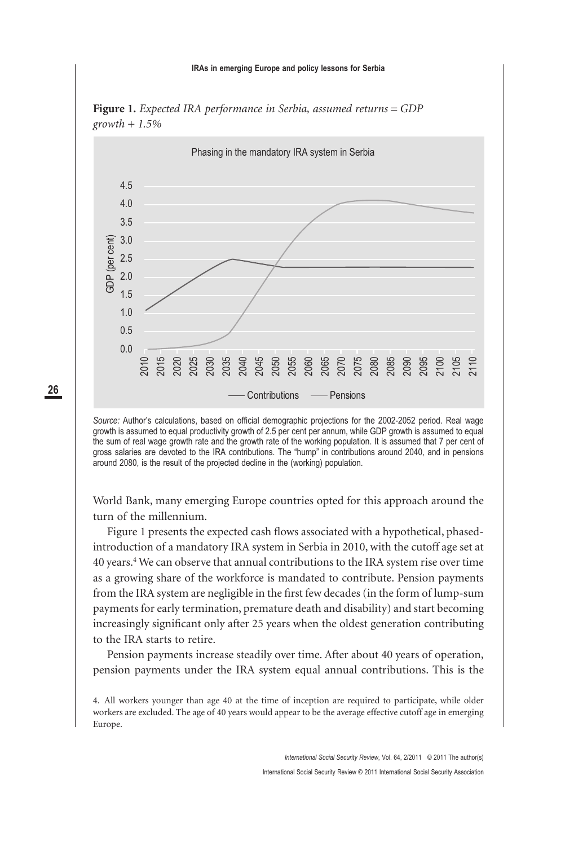

**Figure 1.** *Expected IRA performance in Serbia, assumed returns* = *GDP growth* + *1.5%*

World Bank, many emerging Europe countries opted for this approach around the turn of the millennium.

Figure 1 presents the expected cash flows associated with a hypothetical, phasedintroduction of a mandatory IRA system in Serbia in 2010, with the cutoff age set at 40 years.4 We can observe that annual contributions to the IRA system rise over time as a growing share of the workforce is mandated to contribute. Pension payments from the IRA system are negligible in the first few decades (in the form of lump-sum payments for early termination, premature death and disability) and start becoming increasingly significant only after 25 years when the oldest generation contributing to the IRA starts to retire.

Pension payments increase steadily over time. After about 40 years of operation, pension payments under the IRA system equal annual contributions. This is the

4. All workers younger than age 40 at the time of inception are required to participate, while older workers are excluded. The age of 40 years would appear to be the average effective cutoff age in emerging Europe.

*Source:* Author's calculations, based on official demographic projections for the 2002-2052 period. Real wage growth is assumed to equal productivity growth of 2.5 per cent per annum, while GDP growth is assumed to equal the sum of real wage growth rate and the growth rate of the working population. It is assumed that 7 per cent of gross salaries are devoted to the IRA contributions. The "hump" in contributions around 2040, and in pensions around 2080, is the result of the projected decline in the (working) population.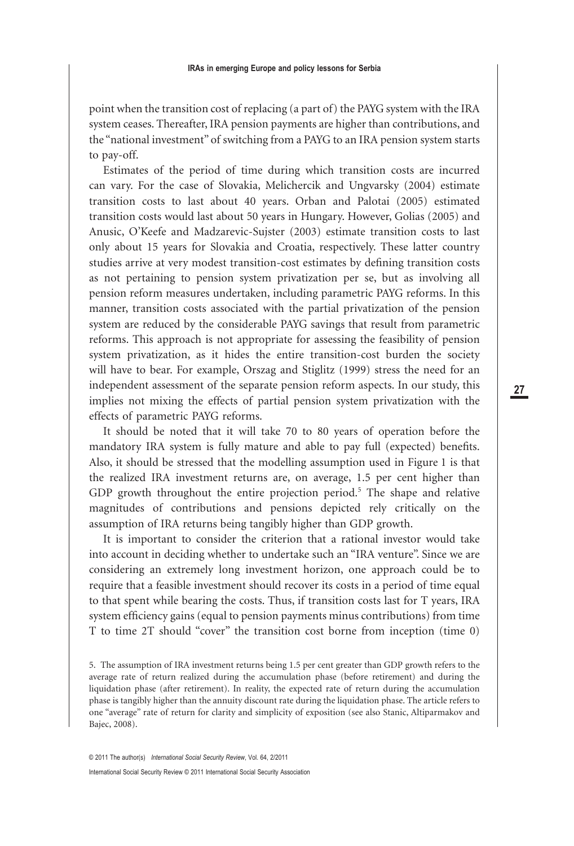point when the transition cost of replacing (a part of) the PAYG system with the IRA system ceases. Thereafter, IRA pension payments are higher than contributions, and the "national investment" of switching from a PAYG to an IRA pension system starts to pay-off.

Estimates of the period of time during which transition costs are incurred can vary. For the case of Slovakia, Melichercik and Ungvarsky (2004) estimate transition costs to last about 40 years. Orban and Palotai (2005) estimated transition costs would last about 50 years in Hungary. However, Golias (2005) and Anusic, O'Keefe and Madzarevic-Sujster (2003) estimate transition costs to last only about 15 years for Slovakia and Croatia, respectively. These latter country studies arrive at very modest transition-cost estimates by defining transition costs as not pertaining to pension system privatization per se, but as involving all pension reform measures undertaken, including parametric PAYG reforms. In this manner, transition costs associated with the partial privatization of the pension system are reduced by the considerable PAYG savings that result from parametric reforms. This approach is not appropriate for assessing the feasibility of pension system privatization, as it hides the entire transition-cost burden the society will have to bear. For example, Orszag and Stiglitz (1999) stress the need for an independent assessment of the separate pension reform aspects. In our study, this implies not mixing the effects of partial pension system privatization with the effects of parametric PAYG reforms.

It should be noted that it will take 70 to 80 years of operation before the mandatory IRA system is fully mature and able to pay full (expected) benefits. Also, it should be stressed that the modelling assumption used in Figure 1 is that the realized IRA investment returns are, on average, 1.5 per cent higher than GDP growth throughout the entire projection period.<sup>5</sup> The shape and relative magnitudes of contributions and pensions depicted rely critically on the assumption of IRA returns being tangibly higher than GDP growth.

It is important to consider the criterion that a rational investor would take into account in deciding whether to undertake such an "IRA venture". Since we are considering an extremely long investment horizon, one approach could be to require that a feasible investment should recover its costs in a period of time equal to that spent while bearing the costs. Thus, if transition costs last for T years, IRA system efficiency gains (equal to pension payments minus contributions) from time T to time 2T should "cover" the transition cost borne from inception (time 0)

5. The assumption of IRA investment returns being 1.5 per cent greater than GDP growth refers to the average rate of return realized during the accumulation phase (before retirement) and during the liquidation phase (after retirement). In reality, the expected rate of return during the accumulation phase is tangibly higher than the annuity discount rate during the liquidation phase. The article refers to one "average" rate of return for clarity and simplicity of exposition (see also Stanic, Altiparmakov and Bajec, 2008).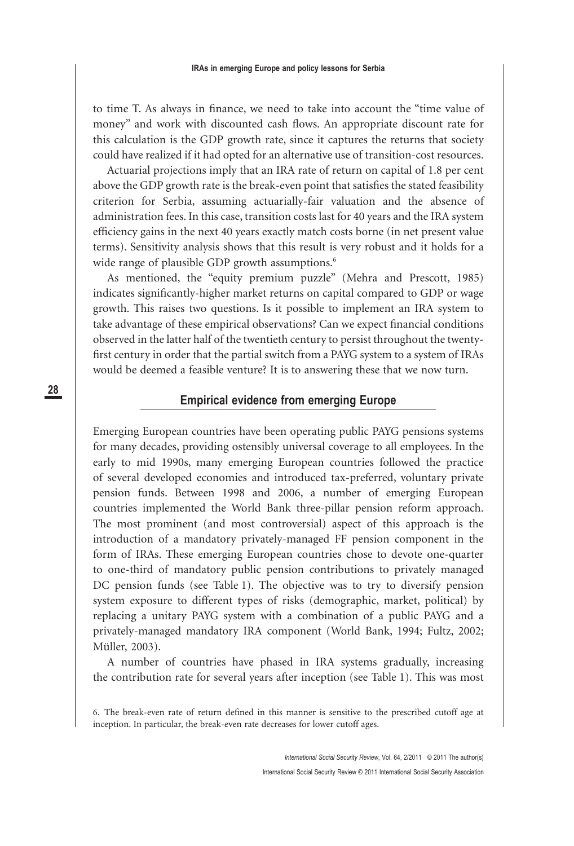to time T. As always in finance, we need to take into account the "time value of money" and work with discounted cash flows. An appropriate discount rate for this calculation is the GDP growth rate, since it captures the returns that society could have realized if it had opted for an alternative use of transition-cost resources.

Actuarial projections imply that an IRA rate of return on capital of 1.8 per cent above the GDP growth rate is the break-even point that satisfies the stated feasibility criterion for Serbia, assuming actuarially-fair valuation and the absence of administration fees. In this case, transition costs last for 40 years and the IRA system efficiency gains in the next 40 years exactly match costs borne (in net present value terms). Sensitivity analysis shows that this result is very robust and it holds for a wide range of plausible GDP growth assumptions.<sup>6</sup>

As mentioned, the "equity premium puzzle" (Mehra and Prescott, 1985) indicates significantly-higher market returns on capital compared to GDP or wage growth. This raises two questions. Is it possible to implement an IRA system to take advantage of these empirical observations? Can we expect financial conditions observed in the latter half of the twentieth century to persist throughout the twentyfirst century in order that the partial switch from a PAYG system to a system of IRAs would be deemed a feasible venture? It is to answering these that we now turn.

## **Empirical evidence from emerging Europe**

Emerging European countries have been operating public PAYG pensions systems for many decades, providing ostensibly universal coverage to all employees. In the early to mid 1990s, many emerging European countries followed the practice of several developed economies and introduced tax-preferred, voluntary private pension funds. Between 1998 and 2006, a number of emerging European countries implemented the World Bank three-pillar pension reform approach. The most prominent (and most controversial) aspect of this approach is the introduction of a mandatory privately-managed FF pension component in the form of IRAs. These emerging European countries chose to devote one-quarter to one-third of mandatory public pension contributions to privately managed DC pension funds (see Table 1). The objective was to try to diversify pension system exposure to different types of risks (demographic, market, political) by replacing a unitary PAYG system with a combination of a public PAYG and a privately-managed mandatory IRA component (World Bank, 1994; Fultz, 2002; Müller, 2003).

A number of countries have phased in IRA systems gradually, increasing the contribution rate for several years after inception (see Table 1). This was most

<sup>6.</sup> The break-even rate of return defined in this manner is sensitive to the prescribed cutoff age at inception. In particular, the break-even rate decreases for lower cutoff ages.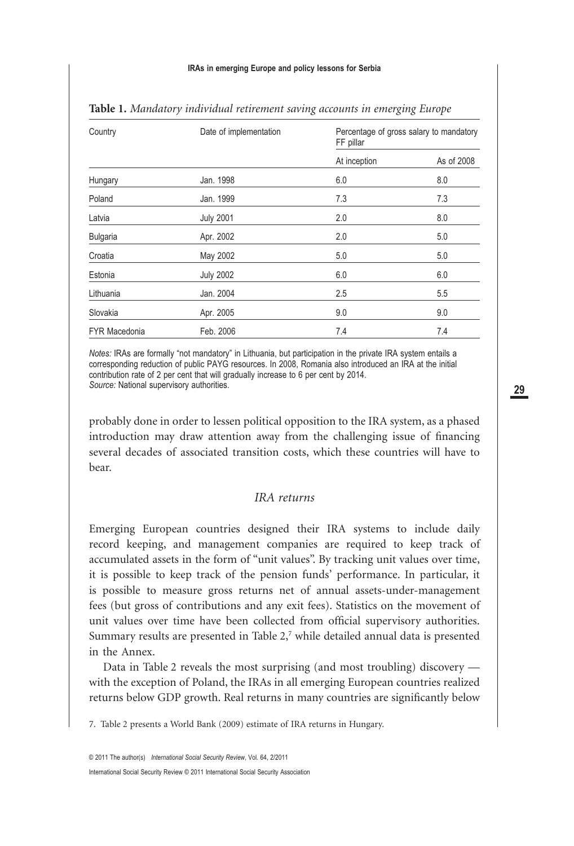| Country              | Date of implementation | Percentage of gross salary to mandatory<br>FF pillar |            |  |  |  |
|----------------------|------------------------|------------------------------------------------------|------------|--|--|--|
|                      |                        | At inception                                         | As of 2008 |  |  |  |
| Hungary              | Jan. 1998              | 6.0                                                  | 8.0        |  |  |  |
| Poland               | Jan. 1999              | 7.3                                                  | 7.3        |  |  |  |
| Latvia               | <b>July 2001</b>       | 2.0                                                  | 8.0        |  |  |  |
| <b>Bulgaria</b>      | Apr. 2002              | 2.0                                                  | 5.0        |  |  |  |
| Croatia              | May 2002               | 5.0                                                  | 5.0        |  |  |  |
| Estonia              | <b>July 2002</b>       | 6.0                                                  | 6.0        |  |  |  |
| Lithuania            | Jan. 2004              | 2.5                                                  | 5.5        |  |  |  |
| Slovakia             | Apr. 2005              | 9.0                                                  | 9.0        |  |  |  |
| <b>FYR Macedonia</b> | Feb. 2006              | 7.4                                                  | 7.4        |  |  |  |

**Table 1.** *Mandatory individual retirement saving accounts in emerging Europe*

*Notes:* IRAs are formally "not mandatory" in Lithuania, but participation in the private IRA system entails a corresponding reduction of public PAYG resources. In 2008, Romania also introduced an IRA at the initial contribution rate of 2 per cent that will gradually increase to 6 per cent by 2014. *Source:* National supervisory authorities. **29**

probably done in order to lessen political opposition to the IRA system, as a phased introduction may draw attention away from the challenging issue of financing several decades of associated transition costs, which these countries will have to bear.

## *IRA returns*

Emerging European countries designed their IRA systems to include daily record keeping, and management companies are required to keep track of accumulated assets in the form of "unit values". By tracking unit values over time, it is possible to keep track of the pension funds' performance. In particular, it is possible to measure gross returns net of annual assets-under-management fees (but gross of contributions and any exit fees). Statistics on the movement of unit values over time have been collected from official supervisory authorities. Summary results are presented in Table  $2<sub>1</sub>$ <sup>7</sup> while detailed annual data is presented in the Annex.

Data in Table 2 reveals the most surprising (and most troubling) discovery with the exception of Poland, the IRAs in all emerging European countries realized returns below GDP growth. Real returns in many countries are significantly below

7. Table 2 presents a World Bank (2009) estimate of IRA returns in Hungary.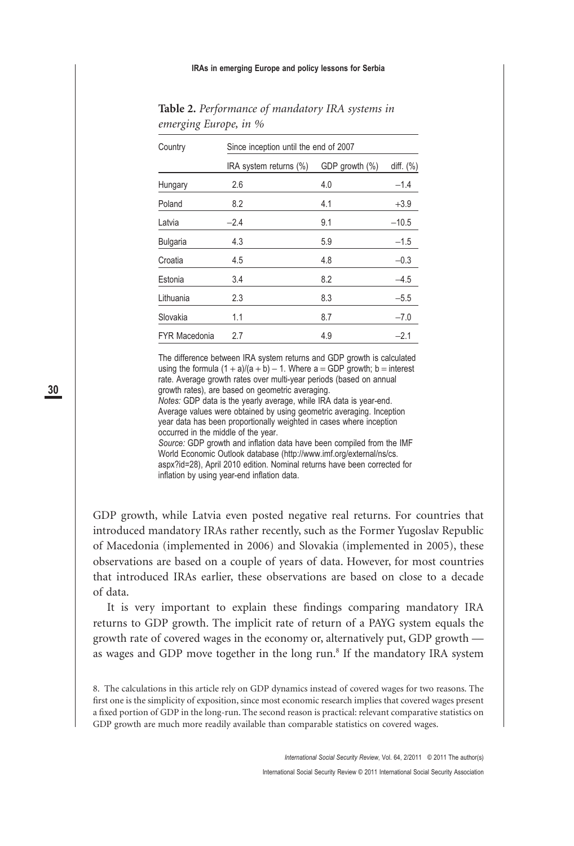| Country              | Since inception until the end of 2007 |                |              |  |  |  |  |  |
|----------------------|---------------------------------------|----------------|--------------|--|--|--|--|--|
|                      | IRA system returns (%)                | GDP growth (%) | diff. $(\%)$ |  |  |  |  |  |
| Hungary              | 2.6                                   | 4.0            | $-1.4$       |  |  |  |  |  |
| Poland               | 8.2                                   | 4.1            | $+3.9$       |  |  |  |  |  |
| Latvia               | $-2.4$                                | 9.1            | $-10.5$      |  |  |  |  |  |
| <b>Bulgaria</b>      | 4.3                                   | 5.9            | $-1.5$       |  |  |  |  |  |
| Croatia              | 4.5                                   | 4.8            | $-0.3$       |  |  |  |  |  |
| Estonia              | 3.4                                   | 8.2            | $-4.5$       |  |  |  |  |  |
| Lithuania            | 2.3                                   | 8.3            | $-5.5$       |  |  |  |  |  |
| Slovakia             | 1.1                                   | 8.7            | $-7.0$       |  |  |  |  |  |
| <b>FYR Macedonia</b> | 2.7                                   | 4.9            | $-2.1$       |  |  |  |  |  |

**Table 2.** *Performance of mandatory IRA systems in emerging Europe, in %*

The difference between IRA system returns and GDP growth is calculated using the formula  $(1 + a)/(a + b) - 1$ . Where  $a = GDP$  growth; b = interest rate. Average growth rates over multi-year periods (based on annual growth rates), are based on geometric averaging.

*Notes:* GDP data is the yearly average, while IRA data is year-end. Average values were obtained by using geometric averaging. Inception year data has been proportionally weighted in cases where inception occurred in the middle of the year.

*Source:* GDP growth and inflation data have been compiled from the IMF World Economic Outlook database (http://www.imf.org/external/ns/cs. aspx?id=28), April 2010 edition. Nominal returns have been corrected for inflation by using year-end inflation data.

GDP growth, while Latvia even posted negative real returns. For countries that introduced mandatory IRAs rather recently, such as the Former Yugoslav Republic of Macedonia (implemented in 2006) and Slovakia (implemented in 2005), these observations are based on a couple of years of data. However, for most countries that introduced IRAs earlier, these observations are based on close to a decade of data.

It is very important to explain these findings comparing mandatory IRA returns to GDP growth. The implicit rate of return of a PAYG system equals the growth rate of covered wages in the economy or, alternatively put, GDP growth as wages and GDP move together in the long run.<sup>8</sup> If the mandatory IRA system

8. The calculations in this article rely on GDP dynamics instead of covered wages for two reasons. The first one is the simplicity of exposition, since most economic research implies that covered wages present a fixed portion of GDP in the long-run. The second reason is practical: relevant comparative statistics on GDP growth are much more readily available than comparable statistics on covered wages.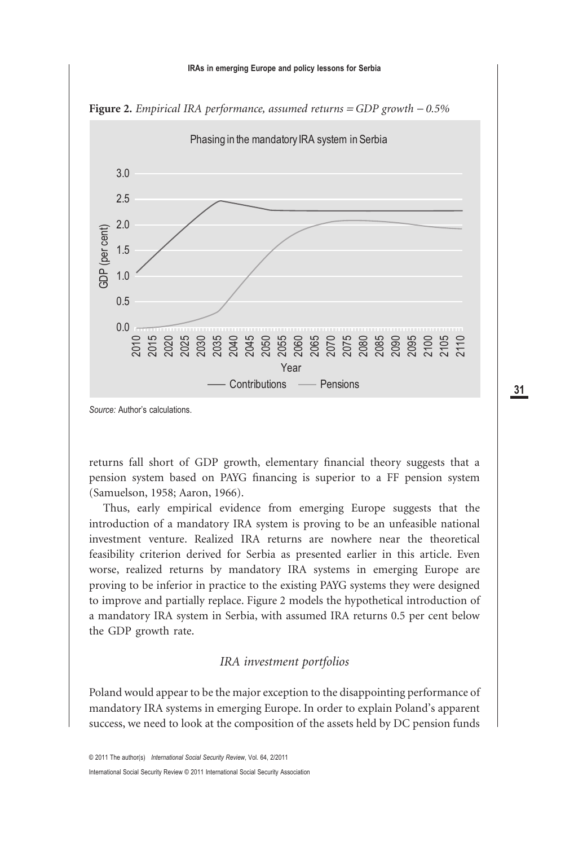

**Figure 2.** *Empirical IRA performance, assumed returns* = *GDP growth* - *0.5%*

*Source:* Author's calculations.

returns fall short of GDP growth, elementary financial theory suggests that a pension system based on PAYG financing is superior to a FF pension system (Samuelson, 1958; Aaron, 1966).

Thus, early empirical evidence from emerging Europe suggests that the introduction of a mandatory IRA system is proving to be an unfeasible national investment venture. Realized IRA returns are nowhere near the theoretical feasibility criterion derived for Serbia as presented earlier in this article. Even worse, realized returns by mandatory IRA systems in emerging Europe are proving to be inferior in practice to the existing PAYG systems they were designed to improve and partially replace. Figure 2 models the hypothetical introduction of a mandatory IRA system in Serbia, with assumed IRA returns 0.5 per cent below the GDP growth rate.

#### *IRA investment portfolios*

Poland would appear to be the major exception to the disappointing performance of mandatory IRA systems in emerging Europe. In order to explain Poland's apparent success, we need to look at the composition of the assets held by DC pension funds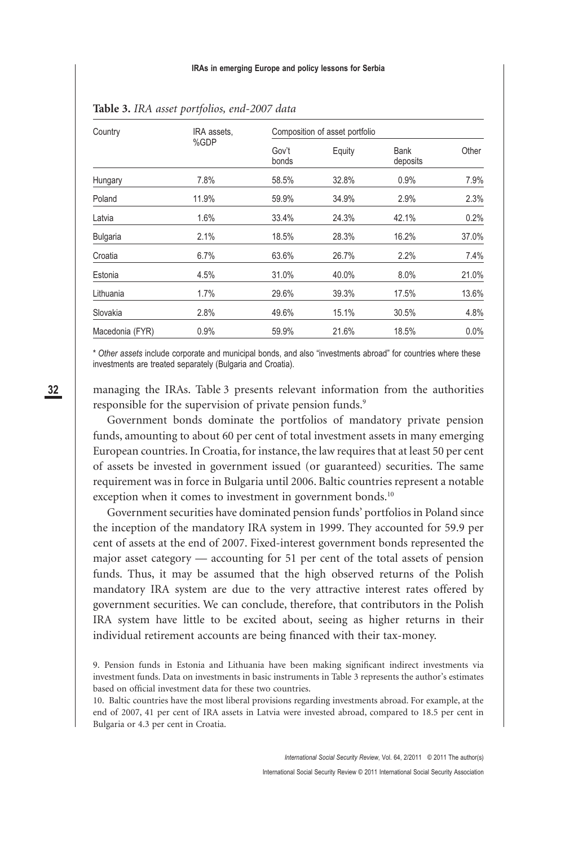| Country         | IRA assets, |                | Composition of asset portfolio |                         |         |  |  |  |  |  |
|-----------------|-------------|----------------|--------------------------------|-------------------------|---------|--|--|--|--|--|
|                 | %GDP        | Gov't<br>bonds | Equity                         | <b>Bank</b><br>deposits | Other   |  |  |  |  |  |
| Hungary         | 7.8%        | 58.5%          | 32.8%                          | $0.9\%$                 | 7.9%    |  |  |  |  |  |
| Poland          | 11.9%       | 59.9%          | 34.9%                          | 2.9%                    | 2.3%    |  |  |  |  |  |
| Latvia          | 1.6%        | 33.4%          | 24.3%                          | 42.1%                   | 0.2%    |  |  |  |  |  |
| <b>Bulgaria</b> | 2.1%        | 18.5%          | 28.3%                          | 16.2%                   | 37.0%   |  |  |  |  |  |
| Croatia         | 6.7%        | 63.6%          | 26.7%                          | 2.2%                    | 7.4%    |  |  |  |  |  |
| Estonia         | 4.5%        | 31.0%          | 40.0%                          | 8.0%                    | 21.0%   |  |  |  |  |  |
| Lithuania       | 1.7%        | 29.6%          | 39.3%                          | 17.5%                   | 13.6%   |  |  |  |  |  |
| Slovakia        | 2.8%        | 49.6%          | 15.1%                          | 30.5%                   | 4.8%    |  |  |  |  |  |
| Macedonia (FYR) | 0.9%        | 59.9%          | 21.6%                          | 18.5%                   | $0.0\%$ |  |  |  |  |  |

**Table 3.** *IRA asset portfolios, end-2007 data*

\* *Other assets* include corporate and municipal bonds, and also "investments abroad" for countries where these investments are treated separately (Bulgaria and Croatia).

managing the IRAs. Table 3 presents relevant information from the authorities responsible for the supervision of private pension funds.<sup>9</sup>

Government bonds dominate the portfolios of mandatory private pension funds, amounting to about 60 per cent of total investment assets in many emerging European countries. In Croatia, for instance, the law requires that at least 50 per cent of assets be invested in government issued (or guaranteed) securities. The same requirement was in force in Bulgaria until 2006. Baltic countries represent a notable exception when it comes to investment in government bonds.<sup>10</sup>

Government securities have dominated pension funds' portfolios in Poland since the inception of the mandatory IRA system in 1999. They accounted for 59.9 per cent of assets at the end of 2007. Fixed-interest government bonds represented the major asset category — accounting for 51 per cent of the total assets of pension funds. Thus, it may be assumed that the high observed returns of the Polish mandatory IRA system are due to the very attractive interest rates offered by government securities. We can conclude, therefore, that contributors in the Polish IRA system have little to be excited about, seeing as higher returns in their individual retirement accounts are being financed with their tax-money.

9. Pension funds in Estonia and Lithuania have been making significant indirect investments via investment funds. Data on investments in basic instruments in Table 3 represents the author's estimates based on official investment data for these two countries.

10. Baltic countries have the most liberal provisions regarding investments abroad. For example, at the end of 2007, 41 per cent of IRA assets in Latvia were invested abroad, compared to 18.5 per cent in Bulgaria or 4.3 per cent in Croatia.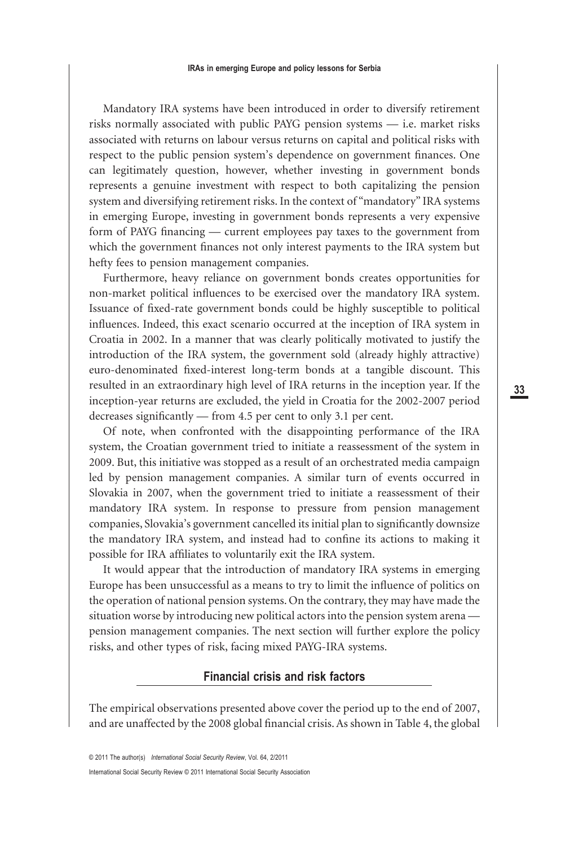Mandatory IRA systems have been introduced in order to diversify retirement risks normally associated with public PAYG pension systems — i.e. market risks associated with returns on labour versus returns on capital and political risks with respect to the public pension system's dependence on government finances. One can legitimately question, however, whether investing in government bonds represents a genuine investment with respect to both capitalizing the pension system and diversifying retirement risks. In the context of "mandatory" IRA systems in emerging Europe, investing in government bonds represents a very expensive form of PAYG financing — current employees pay taxes to the government from which the government finances not only interest payments to the IRA system but hefty fees to pension management companies.

Furthermore, heavy reliance on government bonds creates opportunities for non-market political influences to be exercised over the mandatory IRA system. Issuance of fixed-rate government bonds could be highly susceptible to political influences. Indeed, this exact scenario occurred at the inception of IRA system in Croatia in 2002. In a manner that was clearly politically motivated to justify the introduction of the IRA system, the government sold (already highly attractive) euro-denominated fixed-interest long-term bonds at a tangible discount. This resulted in an extraordinary high level of IRA returns in the inception year. If the inception-year returns are excluded, the yield in Croatia for the 2002-2007 period decreases significantly — from 4.5 per cent to only 3.1 per cent.

Of note, when confronted with the disappointing performance of the IRA system, the Croatian government tried to initiate a reassessment of the system in 2009. But, this initiative was stopped as a result of an orchestrated media campaign led by pension management companies. A similar turn of events occurred in Slovakia in 2007, when the government tried to initiate a reassessment of their mandatory IRA system. In response to pressure from pension management companies, Slovakia's government cancelled its initial plan to significantly downsize the mandatory IRA system, and instead had to confine its actions to making it possible for IRA affiliates to voluntarily exit the IRA system.

It would appear that the introduction of mandatory IRA systems in emerging Europe has been unsuccessful as a means to try to limit the influence of politics on the operation of national pension systems. On the contrary, they may have made the situation worse by introducing new political actors into the pension system arena pension management companies. The next section will further explore the policy risks, and other types of risk, facing mixed PAYG-IRA systems.

## **Financial crisis and risk factors**

The empirical observations presented above cover the period up to the end of 2007, and are unaffected by the 2008 global financial crisis. As shown in Table 4, the global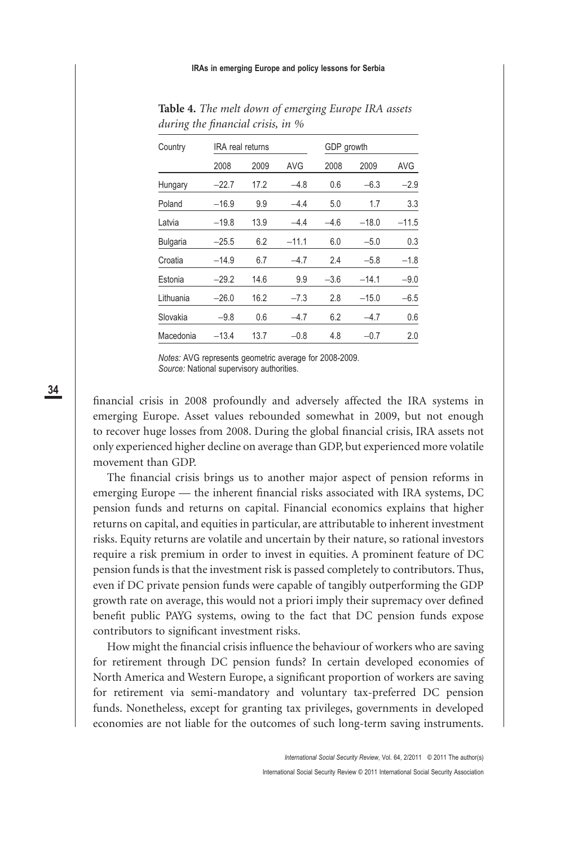| Country         | <b>IRA</b> real returns |      |         |        | GDP growth |         |  |  |  |
|-----------------|-------------------------|------|---------|--------|------------|---------|--|--|--|
|                 | 2008                    | 2009 | AVG     | 2008   | 2009       | AVG     |  |  |  |
| Hungary         | $-22.7$                 | 17.2 | $-4.8$  | 0.6    | $-6.3$     | $-2.9$  |  |  |  |
| Poland          | $-16.9$                 | 9.9  | $-4.4$  | 5.0    | 1.7        | 3.3     |  |  |  |
| Latvia          | $-19.8$                 | 13.9 | $-4.4$  | $-4.6$ | $-18.0$    | $-11.5$ |  |  |  |
| <b>Bulgaria</b> | $-25.5$                 | 6.2  | $-11.1$ | 6.0    | $-5.0$     | 0.3     |  |  |  |
| Croatia         | $-14.9$                 | 6.7  | $-4.7$  | 2.4    | $-5.8$     | $-1.8$  |  |  |  |
| Estonia         | $-29.2$                 | 14.6 | 9.9     | $-3.6$ | $-14.1$    | $-9.0$  |  |  |  |
| Lithuania       | $-26.0$                 | 16.2 | $-7.3$  | 2.8    | $-15.0$    | $-6.5$  |  |  |  |
| Slovakia        | $-9.8$                  | 0.6  | $-4.7$  | 6.2    | $-4.7$     | 0.6     |  |  |  |
| Macedonia       | $-13.4$                 | 13.7 | $-0.8$  | 4.8    | $-0.7$     | 2.0     |  |  |  |

**Table 4.** *The melt down of emerging Europe IRA assets during the financial crisis, in %*

*Notes:* AVG represents geometric average for 2008-2009. *Source:* National supervisory authorities.

financial crisis in 2008 profoundly and adversely affected the IRA systems in emerging Europe. Asset values rebounded somewhat in 2009, but not enough to recover huge losses from 2008. During the global financial crisis, IRA assets not only experienced higher decline on average than GDP, but experienced more volatile movement than GDP.

The financial crisis brings us to another major aspect of pension reforms in emerging Europe — the inherent financial risks associated with IRA systems, DC pension funds and returns on capital. Financial economics explains that higher returns on capital, and equities in particular, are attributable to inherent investment risks. Equity returns are volatile and uncertain by their nature, so rational investors require a risk premium in order to invest in equities. A prominent feature of DC pension funds is that the investment risk is passed completely to contributors. Thus, even if DC private pension funds were capable of tangibly outperforming the GDP growth rate on average, this would not a priori imply their supremacy over defined benefit public PAYG systems, owing to the fact that DC pension funds expose contributors to significant investment risks.

How might the financial crisis influence the behaviour of workers who are saving for retirement through DC pension funds? In certain developed economies of North America and Western Europe, a significant proportion of workers are saving for retirement via semi-mandatory and voluntary tax-preferred DC pension funds. Nonetheless, except for granting tax privileges, governments in developed economies are not liable for the outcomes of such long-term saving instruments.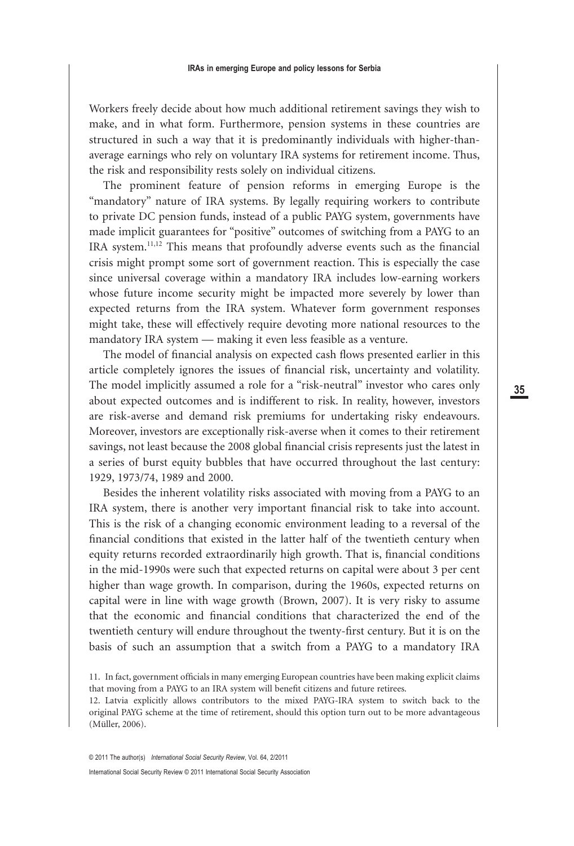#### **IRAs in emerging Europe and policy lessons for Serbia**

Workers freely decide about how much additional retirement savings they wish to make, and in what form. Furthermore, pension systems in these countries are structured in such a way that it is predominantly individuals with higher-thanaverage earnings who rely on voluntary IRA systems for retirement income. Thus, the risk and responsibility rests solely on individual citizens.

The prominent feature of pension reforms in emerging Europe is the "mandatory" nature of IRA systems. By legally requiring workers to contribute to private DC pension funds, instead of a public PAYG system, governments have made implicit guarantees for "positive" outcomes of switching from a PAYG to an IRA system.11,12 This means that profoundly adverse events such as the financial crisis might prompt some sort of government reaction. This is especially the case since universal coverage within a mandatory IRA includes low-earning workers whose future income security might be impacted more severely by lower than expected returns from the IRA system. Whatever form government responses might take, these will effectively require devoting more national resources to the mandatory IRA system — making it even less feasible as a venture.

The model of financial analysis on expected cash flows presented earlier in this article completely ignores the issues of financial risk, uncertainty and volatility. The model implicitly assumed a role for a "risk-neutral" investor who cares only about expected outcomes and is indifferent to risk. In reality, however, investors are risk-averse and demand risk premiums for undertaking risky endeavours. Moreover, investors are exceptionally risk-averse when it comes to their retirement savings, not least because the 2008 global financial crisis represents just the latest in a series of burst equity bubbles that have occurred throughout the last century: 1929, 1973/74, 1989 and 2000.

Besides the inherent volatility risks associated with moving from a PAYG to an IRA system, there is another very important financial risk to take into account. This is the risk of a changing economic environment leading to a reversal of the financial conditions that existed in the latter half of the twentieth century when equity returns recorded extraordinarily high growth. That is, financial conditions in the mid-1990s were such that expected returns on capital were about 3 per cent higher than wage growth. In comparison, during the 1960s, expected returns on capital were in line with wage growth (Brown, 2007). It is very risky to assume that the economic and financial conditions that characterized the end of the twentieth century will endure throughout the twenty-first century. But it is on the basis of such an assumption that a switch from a PAYG to a mandatory IRA

© 2011 The author(s) *International Social Security Review*, Vol. 64, 2/2011 International Social Security Review © 2011 International Social Security Association

<sup>11.</sup> In fact, government officials in many emerging European countries have been making explicit claims that moving from a PAYG to an IRA system will benefit citizens and future retirees.

<sup>12.</sup> Latvia explicitly allows contributors to the mixed PAYG-IRA system to switch back to the original PAYG scheme at the time of retirement, should this option turn out to be more advantageous (Müller, 2006).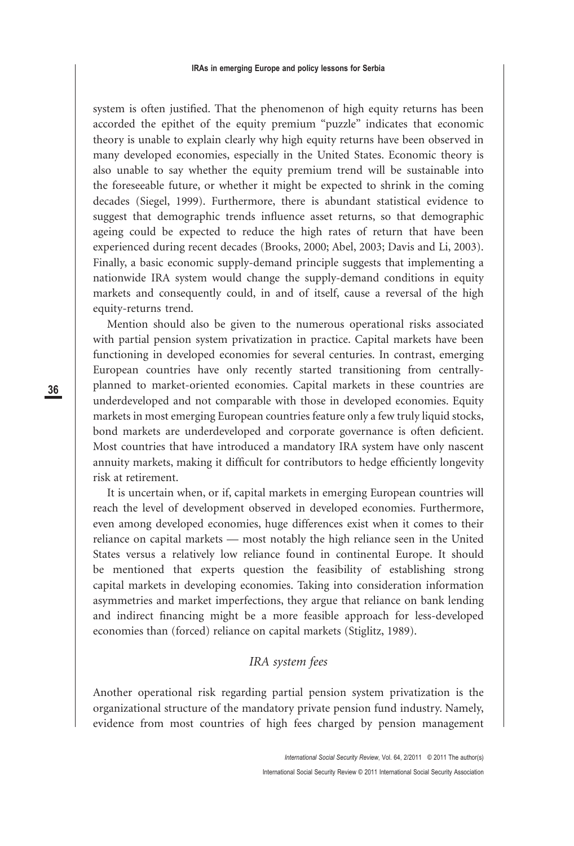system is often justified. That the phenomenon of high equity returns has been accorded the epithet of the equity premium "puzzle" indicates that economic theory is unable to explain clearly why high equity returns have been observed in many developed economies, especially in the United States. Economic theory is also unable to say whether the equity premium trend will be sustainable into the foreseeable future, or whether it might be expected to shrink in the coming decades (Siegel, 1999). Furthermore, there is abundant statistical evidence to suggest that demographic trends influence asset returns, so that demographic ageing could be expected to reduce the high rates of return that have been experienced during recent decades (Brooks, 2000; Abel, 2003; Davis and Li, 2003). Finally, a basic economic supply-demand principle suggests that implementing a nationwide IRA system would change the supply-demand conditions in equity markets and consequently could, in and of itself, cause a reversal of the high equity-returns trend.

Mention should also be given to the numerous operational risks associated with partial pension system privatization in practice. Capital markets have been functioning in developed economies for several centuries. In contrast, emerging European countries have only recently started transitioning from centrallyplanned to market-oriented economies. Capital markets in these countries are underdeveloped and not comparable with those in developed economies. Equity markets in most emerging European countries feature only a few truly liquid stocks, bond markets are underdeveloped and corporate governance is often deficient. Most countries that have introduced a mandatory IRA system have only nascent annuity markets, making it difficult for contributors to hedge efficiently longevity risk at retirement.

It is uncertain when, or if, capital markets in emerging European countries will reach the level of development observed in developed economies. Furthermore, even among developed economies, huge differences exist when it comes to their reliance on capital markets — most notably the high reliance seen in the United States versus a relatively low reliance found in continental Europe. It should be mentioned that experts question the feasibility of establishing strong capital markets in developing economies. Taking into consideration information asymmetries and market imperfections, they argue that reliance on bank lending and indirect financing might be a more feasible approach for less-developed economies than (forced) reliance on capital markets (Stiglitz, 1989).

# *IRA system fees*

Another operational risk regarding partial pension system privatization is the organizational structure of the mandatory private pension fund industry. Namely, evidence from most countries of high fees charged by pension management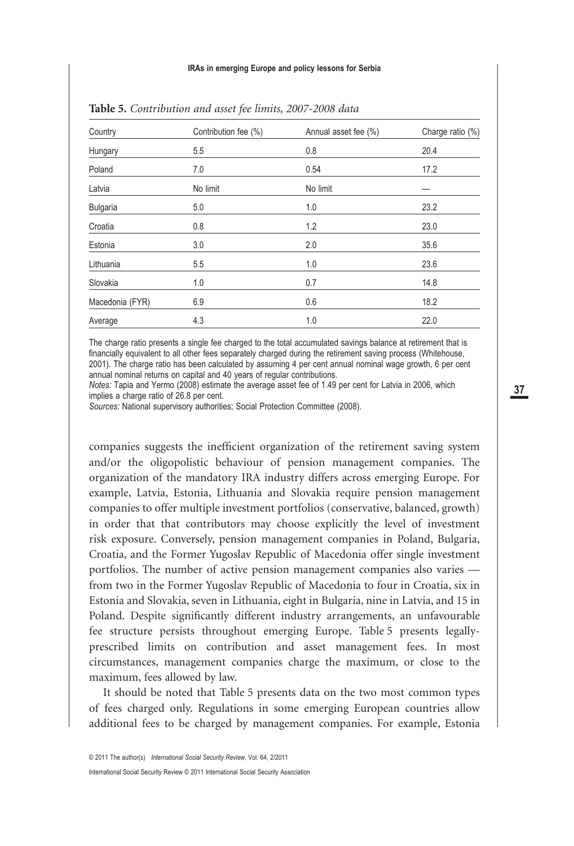| Country         | Contribution fee (%) | Annual asset fee (%) | Charge ratio (%) |  |  |
|-----------------|----------------------|----------------------|------------------|--|--|
| Hungary         | 5.5                  | 0.8                  | 20.4             |  |  |
| Poland          | 7.0                  | 0.54                 | 17.2             |  |  |
| Latvia          | No limit             | No limit             |                  |  |  |
| Bulgaria        | 5.0                  | 1.0                  | 23.2             |  |  |
| Croatia         | 0.8                  | 1.2                  | 23.0             |  |  |
| Estonia         | 3.0                  | 2.0                  | 35.6             |  |  |
| Lithuania       | 5.5                  | 1.0                  | 23.6             |  |  |
| Slovakia        | 1.0                  | 0.7                  | 14.8             |  |  |
| Macedonia (FYR) | 6.9                  | 0.6                  | 18.2             |  |  |
| Average         | 4.3                  | 1.0                  | 22.0             |  |  |

**Table 5.** *Contribution and asset fee limits, 2007-2008 data*

The charge ratio presents a single fee charged to the total accumulated savings balance at retirement that is financially equivalent to all other fees separately charged during the retirement saving process (Whitehouse, 2001). The charge ratio has been calculated by assuming 4 per cent annual nominal wage growth, 6 per cent annual nominal returns on capital and 40 years of regular contributions.

*Notes:* Tapia and Yermo (2008) estimate the average asset fee of 1.49 per cent for Latvia in 2006, which implies a charge ratio of 26.8 per cent.

*Sources:* National supervisory authorities; Social Protection Committee (2008).

companies suggests the inefficient organization of the retirement saving system and/or the oligopolistic behaviour of pension management companies. The organization of the mandatory IRA industry differs across emerging Europe. For example, Latvia, Estonia, Lithuania and Slovakia require pension management companies to offer multiple investment portfolios (conservative, balanced, growth) in order that that contributors may choose explicitly the level of investment risk exposure. Conversely, pension management companies in Poland, Bulgaria, Croatia, and the Former Yugoslav Republic of Macedonia offer single investment portfolios. The number of active pension management companies also varies from two in the Former Yugoslav Republic of Macedonia to four in Croatia, six in Estonia and Slovakia, seven in Lithuania, eight in Bulgaria, nine in Latvia, and 15 in Poland. Despite significantly different industry arrangements, an unfavourable fee structure persists throughout emerging Europe. Table 5 presents legallyprescribed limits on contribution and asset management fees. In most circumstances, management companies charge the maximum, or close to the maximum, fees allowed by law.

It should be noted that Table 5 presents data on the two most common types of fees charged only. Regulations in some emerging European countries allow additional fees to be charged by management companies. For example, Estonia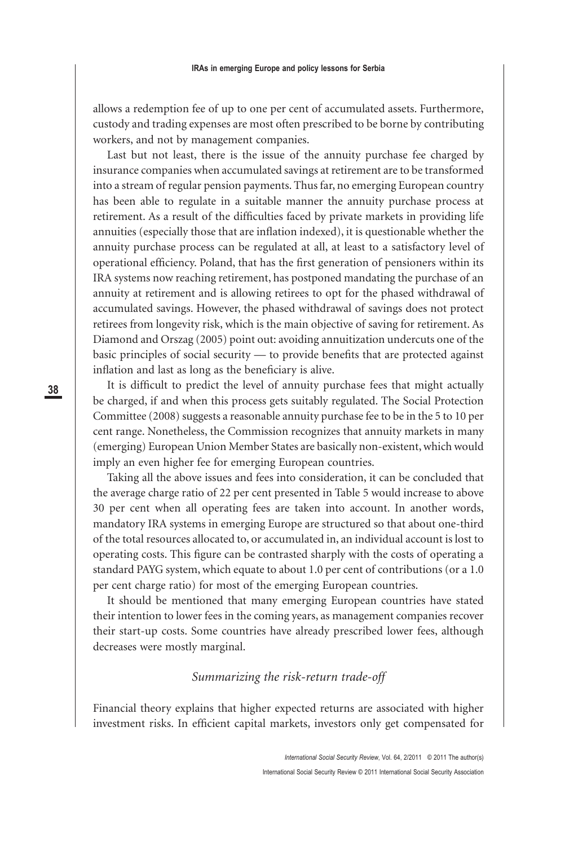allows a redemption fee of up to one per cent of accumulated assets. Furthermore, custody and trading expenses are most often prescribed to be borne by contributing workers, and not by management companies.

Last but not least, there is the issue of the annuity purchase fee charged by insurance companies when accumulated savings at retirement are to be transformed into a stream of regular pension payments. Thus far, no emerging European country has been able to regulate in a suitable manner the annuity purchase process at retirement. As a result of the difficulties faced by private markets in providing life annuities (especially those that are inflation indexed), it is questionable whether the annuity purchase process can be regulated at all, at least to a satisfactory level of operational efficiency. Poland, that has the first generation of pensioners within its IRA systems now reaching retirement, has postponed mandating the purchase of an annuity at retirement and is allowing retirees to opt for the phased withdrawal of accumulated savings. However, the phased withdrawal of savings does not protect retirees from longevity risk, which is the main objective of saving for retirement. As Diamond and Orszag (2005) point out: avoiding annuitization undercuts one of the basic principles of social security — to provide benefits that are protected against inflation and last as long as the beneficiary is alive.

It is difficult to predict the level of annuity purchase fees that might actually be charged, if and when this process gets suitably regulated. The Social Protection Committee (2008) suggests a reasonable annuity purchase fee to be in the 5 to 10 per cent range. Nonetheless, the Commission recognizes that annuity markets in many (emerging) European Union Member States are basically non-existent, which would imply an even higher fee for emerging European countries.

Taking all the above issues and fees into consideration, it can be concluded that the average charge ratio of 22 per cent presented in Table 5 would increase to above 30 per cent when all operating fees are taken into account. In another words, mandatory IRA systems in emerging Europe are structured so that about one-third of the total resources allocated to, or accumulated in, an individual account is lost to operating costs. This figure can be contrasted sharply with the costs of operating a standard PAYG system, which equate to about 1.0 per cent of contributions (or a 1.0 per cent charge ratio) for most of the emerging European countries.

It should be mentioned that many emerging European countries have stated their intention to lower fees in the coming years, as management companies recover their start-up costs. Some countries have already prescribed lower fees, although decreases were mostly marginal.

# *Summarizing the risk-return trade-off*

Financial theory explains that higher expected returns are associated with higher investment risks. In efficient capital markets, investors only get compensated for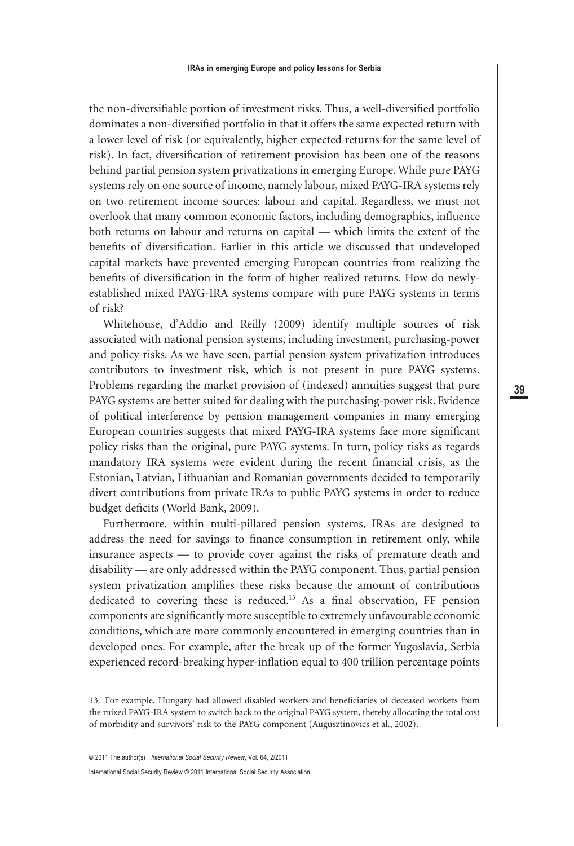the non-diversifiable portion of investment risks. Thus, a well-diversified portfolio dominates a non-diversified portfolio in that it offers the same expected return with a lower level of risk (or equivalently, higher expected returns for the same level of risk). In fact, diversification of retirement provision has been one of the reasons behind partial pension system privatizations in emerging Europe. While pure PAYG systems rely on one source of income, namely labour, mixed PAYG-IRA systems rely on two retirement income sources: labour and capital. Regardless, we must not overlook that many common economic factors, including demographics, influence both returns on labour and returns on capital — which limits the extent of the benefits of diversification. Earlier in this article we discussed that undeveloped capital markets have prevented emerging European countries from realizing the benefits of diversification in the form of higher realized returns. How do newlyestablished mixed PAYG-IRA systems compare with pure PAYG systems in terms of risk?

Whitehouse, d'Addio and Reilly (2009) identify multiple sources of risk associated with national pension systems, including investment, purchasing-power and policy risks. As we have seen, partial pension system privatization introduces contributors to investment risk, which is not present in pure PAYG systems. Problems regarding the market provision of (indexed) annuities suggest that pure PAYG systems are better suited for dealing with the purchasing-power risk. Evidence of political interference by pension management companies in many emerging European countries suggests that mixed PAYG-IRA systems face more significant policy risks than the original, pure PAYG systems. In turn, policy risks as regards mandatory IRA systems were evident during the recent financial crisis, as the Estonian, Latvian, Lithuanian and Romanian governments decided to temporarily divert contributions from private IRAs to public PAYG systems in order to reduce budget deficits (World Bank, 2009).

Furthermore, within multi-pillared pension systems, IRAs are designed to address the need for savings to finance consumption in retirement only, while insurance aspects — to provide cover against the risks of premature death and disability — are only addressed within the PAYG component. Thus, partial pension system privatization amplifies these risks because the amount of contributions dedicated to covering these is reduced.13 As a final observation, FF pension components are significantly more susceptible to extremely unfavourable economic conditions, which are more commonly encountered in emerging countries than in developed ones. For example, after the break up of the former Yugoslavia, Serbia experienced record-breaking hyper-inflation equal to 400 trillion percentage points

13. For example, Hungary had allowed disabled workers and beneficiaries of deceased workers from the mixed PAYG-IRA system to switch back to the original PAYG system, thereby allocating the total cost of morbidity and survivors' risk to the PAYG component (Augusztinovics et al., 2002).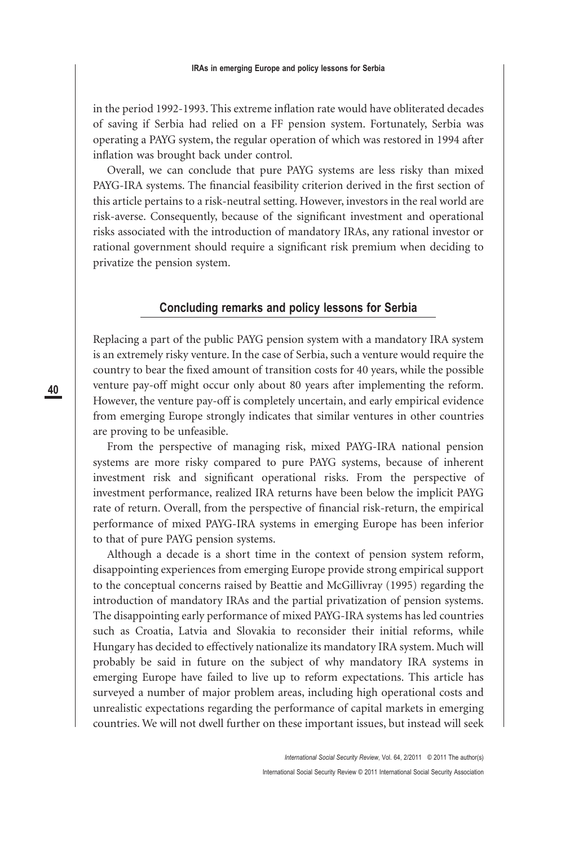in the period 1992-1993. This extreme inflation rate would have obliterated decades of saving if Serbia had relied on a FF pension system. Fortunately, Serbia was operating a PAYG system, the regular operation of which was restored in 1994 after inflation was brought back under control.

Overall, we can conclude that pure PAYG systems are less risky than mixed PAYG-IRA systems. The financial feasibility criterion derived in the first section of this article pertains to a risk-neutral setting. However, investors in the real world are risk-averse. Consequently, because of the significant investment and operational risks associated with the introduction of mandatory IRAs, any rational investor or rational government should require a significant risk premium when deciding to privatize the pension system.

## **Concluding remarks and policy lessons for Serbia**

Replacing a part of the public PAYG pension system with a mandatory IRA system is an extremely risky venture. In the case of Serbia, such a venture would require the country to bear the fixed amount of transition costs for 40 years, while the possible venture pay-off might occur only about 80 years after implementing the reform. However, the venture pay-off is completely uncertain, and early empirical evidence from emerging Europe strongly indicates that similar ventures in other countries are proving to be unfeasible.

From the perspective of managing risk, mixed PAYG-IRA national pension systems are more risky compared to pure PAYG systems, because of inherent investment risk and significant operational risks. From the perspective of investment performance, realized IRA returns have been below the implicit PAYG rate of return. Overall, from the perspective of financial risk-return, the empirical performance of mixed PAYG-IRA systems in emerging Europe has been inferior to that of pure PAYG pension systems.

Although a decade is a short time in the context of pension system reform, disappointing experiences from emerging Europe provide strong empirical support to the conceptual concerns raised by Beattie and McGillivray (1995) regarding the introduction of mandatory IRAs and the partial privatization of pension systems. The disappointing early performance of mixed PAYG-IRA systems has led countries such as Croatia, Latvia and Slovakia to reconsider their initial reforms, while Hungary has decided to effectively nationalize its mandatory IRA system. Much will probably be said in future on the subject of why mandatory IRA systems in emerging Europe have failed to live up to reform expectations. This article has surveyed a number of major problem areas, including high operational costs and unrealistic expectations regarding the performance of capital markets in emerging countries. We will not dwell further on these important issues, but instead will seek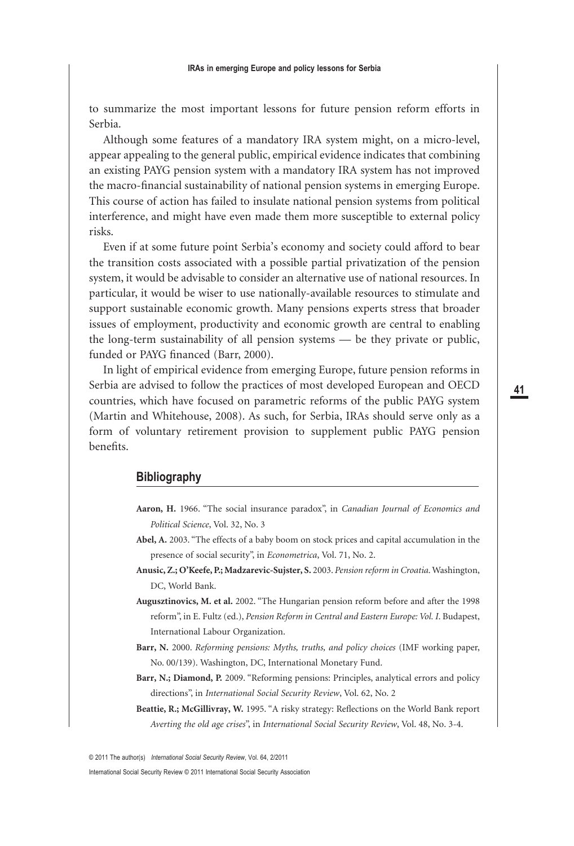to summarize the most important lessons for future pension reform efforts in Serbia.

Although some features of a mandatory IRA system might, on a micro-level, appear appealing to the general public, empirical evidence indicates that combining an existing PAYG pension system with a mandatory IRA system has not improved the macro-financial sustainability of national pension systems in emerging Europe. This course of action has failed to insulate national pension systems from political interference, and might have even made them more susceptible to external policy risks.

Even if at some future point Serbia's economy and society could afford to bear the transition costs associated with a possible partial privatization of the pension system, it would be advisable to consider an alternative use of national resources. In particular, it would be wiser to use nationally-available resources to stimulate and support sustainable economic growth. Many pensions experts stress that broader issues of employment, productivity and economic growth are central to enabling the long-term sustainability of all pension systems — be they private or public, funded or PAYG financed (Barr, 2000).

In light of empirical evidence from emerging Europe, future pension reforms in Serbia are advised to follow the practices of most developed European and OECD countries, which have focused on parametric reforms of the public PAYG system (Martin and Whitehouse, 2008). As such, for Serbia, IRAs should serve only as a form of voluntary retirement provision to supplement public PAYG pension benefits.

#### **Bibliography**

- **Aaron, H.** 1966. "The social insurance paradox", in *Canadian Journal of Economics and Political Science*, Vol. 32, No. 3
- **Abel, A.** 2003. "The effects of a baby boom on stock prices and capital accumulation in the presence of social security", in *Econometrica*, Vol. 71, No. 2.
- **Anusic, Z.; O'Keefe, P.; Madzarevic-Sujster, S.** 2003. *Pension reform in Croatia*. Washington, DC, World Bank.
- **Augusztinovics, M. et al.** 2002. "The Hungarian pension reform before and after the 1998 reform", in E. Fultz (ed.), *Pension Reform in Central and Eastern Europe: Vol. I*. Budapest, International Labour Organization.
- **Barr, N.** 2000. *Reforming pensions: Myths, truths, and policy choices* (IMF working paper, No. 00/139). Washington, DC, International Monetary Fund.
- **Barr, N.; Diamond, P.** 2009. "Reforming pensions: Principles, analytical errors and policy directions", in *International Social Security Review*, Vol. 62, No. 2
- **Beattie, R.; McGillivray, W.** 1995. "A risky strategy: Reflections on the World Bank report *Averting the old age crises*", in *International Social Security Review*, Vol. 48, No. 3-4.

International Social Security Review © 2011 International Social Security Association

<sup>© 2011</sup> The author(s) *International Social Security Review*, Vol. 64, 2/2011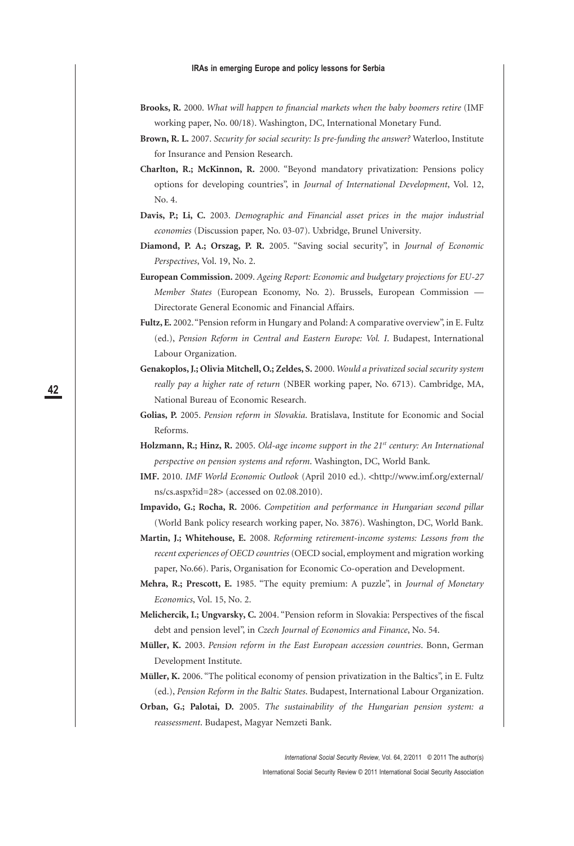- **Brooks, R.** 2000. *What will happen to financial markets when the baby boomers retire* (IMF working paper, No. 00/18). Washington, DC, International Monetary Fund.
- **Brown, R. L.** 2007. *Security for social security: Is pre-funding the answer?* Waterloo, Institute for Insurance and Pension Research.
- **Charlton, R.; McKinnon, R.** 2000. "Beyond mandatory privatization: Pensions policy options for developing countries", in *Journal of International Development*, Vol. 12, No. 4.
- **Davis, P.; Li, C.** 2003. *Demographic and Financial asset prices in the major industrial economies* (Discussion paper, No. 03-07). Uxbridge, Brunel University.
- **Diamond, P. A.; Orszag, P. R.** 2005. "Saving social security", in *Journal of Economic Perspectives*, Vol. 19, No. 2.
- **European Commission.** 2009. *Ageing Report: Economic and budgetary projections for EU-27 Member States* (European Economy, No. 2). Brussels, European Commission — Directorate General Economic and Financial Affairs.
- **Fultz, E.** 2002."Pension reform in Hungary and Poland: A comparative overview", in E. Fultz (ed.), *Pension Reform in Central and Eastern Europe: Vol. I*. Budapest, International Labour Organization.
- **Genakoplos, J.; Olivia Mitchell, O.; Zeldes, S.** 2000. *Would a privatized social security system really pay a higher rate of return* (NBER working paper, No. 6713). Cambridge, MA, National Bureau of Economic Research.
- **Golias, P.** 2005. *Pension reform in Slovakia*. Bratislava, Institute for Economic and Social Reforms.
- **Holzmann, R.; Hinz, R.** 2005. *Old-age income support in the 21st century: An International perspective on pension systems and reform*. Washington, DC, World Bank.
- **IMF.** 2010. *IMF World Economic Outlook* (April 2010 ed.). <http://www.imf.org/external/ ns/cs.aspx?id=28> (accessed on 02.08.2010).
- **Impavido, G.; Rocha, R.** 2006. *Competition and performance in Hungarian second pillar* (World Bank policy research working paper, No. 3876). Washington, DC, World Bank.
- **Martin, J.; Whitehouse, E.** 2008. *Reforming retirement-income systems: Lessons from the recent experiences of OECD countries* (OECD social, employment and migration working paper, No.66). Paris, Organisation for Economic Co-operation and Development.
- **Mehra, R.; Prescott, E.** 1985. "The equity premium: A puzzle", in *Journal of Monetary Economics*, Vol. 15, No. 2.
- **Melichercik, I.; Ungvarsky, C.** 2004. "Pension reform in Slovakia: Perspectives of the fiscal debt and pension level", in *Czech Journal of Economics and Finance*, No. 54.
- **Müller, K.** 2003. *Pension reform in the East European accession countries*. Bonn, German Development Institute.
- **Müller, K.** 2006. "The political economy of pension privatization in the Baltics", in E. Fultz (ed.), *Pension Reform in the Baltic States*. Budapest, International Labour Organization.
- **Orban, G.; Palotai, D.** 2005. *The sustainability of the Hungarian pension system: a reassessment*. Budapest, Magyar Nemzeti Bank.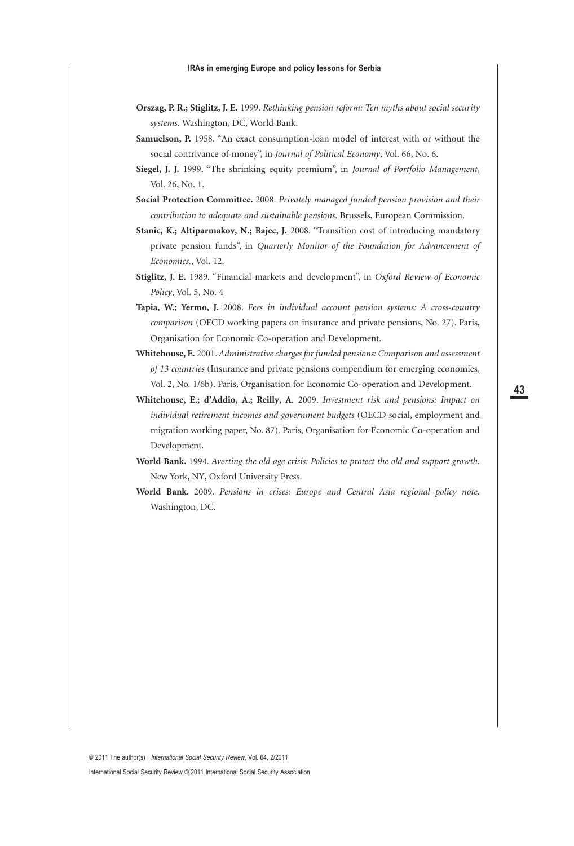- **Orszag, P. R.; Stiglitz, J. E.** 1999. *Rethinking pension reform: Ten myths about social security systems*. Washington, DC, World Bank.
- **Samuelson, P.** 1958. "An exact consumption-loan model of interest with or without the social contrivance of money", in *Journal of Political Economy*, Vol. 66, No. 6.
- **Siegel, J. J.** 1999. "The shrinking equity premium", in *Journal of Portfolio Management*, Vol. 26, No. 1.
- **Social Protection Committee.** 2008. *Privately managed funded pension provision and their contribution to adequate and sustainable pensions*. Brussels, European Commission.
- **Stanic, K.; Altiparmakov, N.; Bajec, J.** 2008. "Transition cost of introducing mandatory private pension funds", in *Quarterly Monitor of the Foundation for Advancement of Economics.*, Vol. 12.
- **Stiglitz, J. E.** 1989. "Financial markets and development", in *Oxford Review of Economic Policy*, Vol. 5, No. 4
- **Tapia, W.; Yermo, J.** 2008. *Fees in individual account pension systems: A cross-country comparison* (OECD working papers on insurance and private pensions, No. 27). Paris, Organisation for Economic Co-operation and Development.
- **Whitehouse, E.** 2001. *Administrative charges for funded pensions: Comparison and assessment of 13 countries* (Insurance and private pensions compendium for emerging economies, Vol. 2, No. 1/6b). Paris, Organisation for Economic Co-operation and Development.
- **Whitehouse, E.; d'Addio, A.; Reilly, A.** 2009. *Investment risk and pensions: Impact on individual retirement incomes and government budgets* (OECD social, employment and migration working paper, No. 87). Paris, Organisation for Economic Co-operation and Development.
- **World Bank.** 1994. *Averting the old age crisis: Policies to protect the old and support growth*. New York, NY, Oxford University Press.
- **World Bank.** 2009. *Pensions in crises: Europe and Central Asia regional policy note*. Washington, DC.